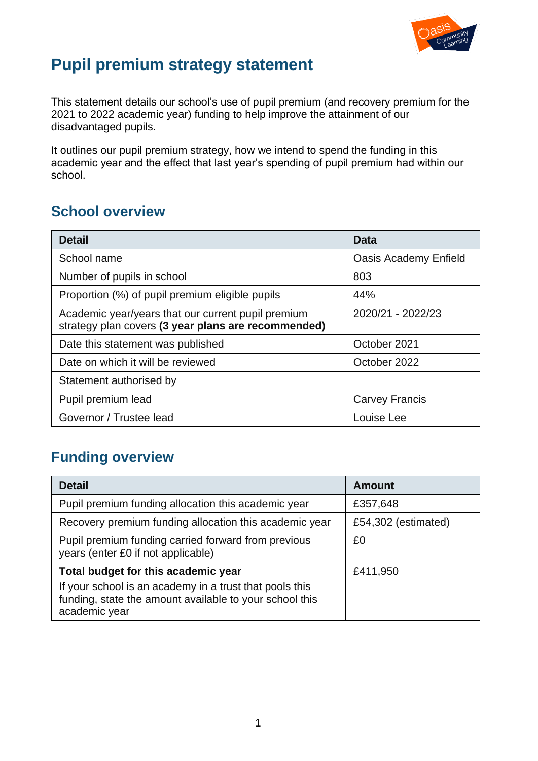

# **Pupil premium strategy statement**

This statement details our school's use of pupil premium (and recovery premium for the 2021 to 2022 academic year) funding to help improve the attainment of our disadvantaged pupils.

It outlines our pupil premium strategy, how we intend to spend the funding in this academic year and the effect that last year's spending of pupil premium had within our school.

## **School overview**

| <b>Detail</b>                                                                                             | Data                         |
|-----------------------------------------------------------------------------------------------------------|------------------------------|
| School name                                                                                               | <b>Oasis Academy Enfield</b> |
| Number of pupils in school                                                                                | 803                          |
| Proportion (%) of pupil premium eligible pupils                                                           | 44%                          |
| Academic year/years that our current pupil premium<br>strategy plan covers (3 year plans are recommended) | 2020/21 - 2022/23            |
| Date this statement was published                                                                         | October 2021                 |
| Date on which it will be reviewed                                                                         | October 2022                 |
| Statement authorised by                                                                                   |                              |
| Pupil premium lead                                                                                        | <b>Carvey Francis</b>        |
| Governor / Trustee lead                                                                                   | Louise Lee                   |

## **Funding overview**

| <b>Detail</b>                                                                                                                       | <b>Amount</b>       |
|-------------------------------------------------------------------------------------------------------------------------------------|---------------------|
| Pupil premium funding allocation this academic year                                                                                 | £357,648            |
| Recovery premium funding allocation this academic year                                                                              | £54,302 (estimated) |
| Pupil premium funding carried forward from previous<br>years (enter £0 if not applicable)                                           | £0                  |
| Total budget for this academic year                                                                                                 | £411,950            |
| If your school is an academy in a trust that pools this<br>funding, state the amount available to your school this<br>academic year |                     |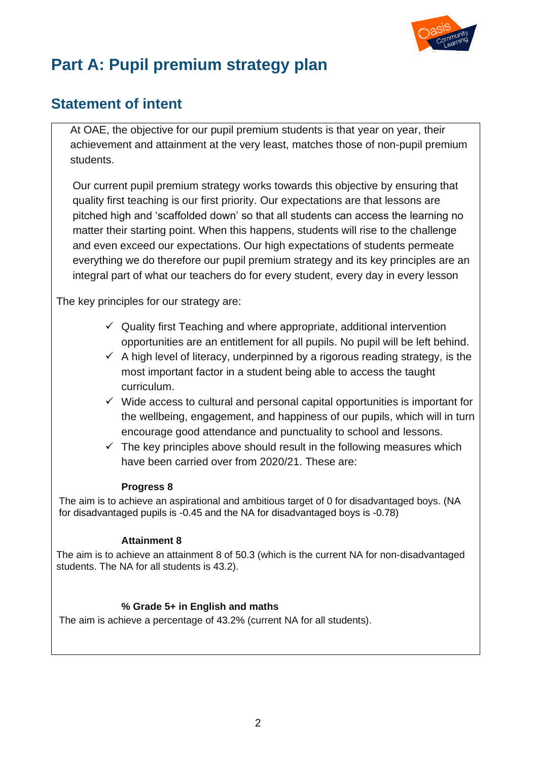

# **Part A: Pupil premium strategy plan**

## **Statement of intent**

At OAE, the objective for our pupil premium students is that year on year, their achievement and attainment at the very least, matches those of non-pupil premium students.

Our current pupil premium strategy works towards this objective by ensuring that quality first teaching is our first priority. Our expectations are that lessons are pitched high and 'scaffolded down' so that all students can access the learning no matter their starting point. When this happens, students will rise to the challenge and even exceed our expectations. Our high expectations of students permeate everything we do therefore our pupil premium strategy and its key principles are an integral part of what our teachers do for every student, every day in every lesson

The key principles for our strategy are:

- $\checkmark$  Quality first Teaching and where appropriate, additional intervention opportunities are an entitlement for all pupils. No pupil will be left behind.
- $\checkmark$  A high level of literacy, underpinned by a rigorous reading strategy, is the most important factor in a student being able to access the taught curriculum.
- $\checkmark$  Wide access to cultural and personal capital opportunities is important for the wellbeing, engagement, and happiness of our pupils, which will in turn encourage good attendance and punctuality to school and lessons.
- $\checkmark$  The key principles above should result in the following measures which have been carried over from 2020/21. These are:

#### **Progress 8**

The aim is to achieve an aspirational and ambitious target of 0 for disadvantaged boys. (NA for disadvantaged pupils is -0.45 and the NA for disadvantaged boys is -0.78)

#### **Attainment 8**

The aim is to achieve an attainment 8 of 50.3 (which is the current NA for non-disadvantaged students. The NA for all students is 43.2).

### **% Grade 5+ in English and maths**

The aim is achieve a percentage of 43.2% (current NA for all students).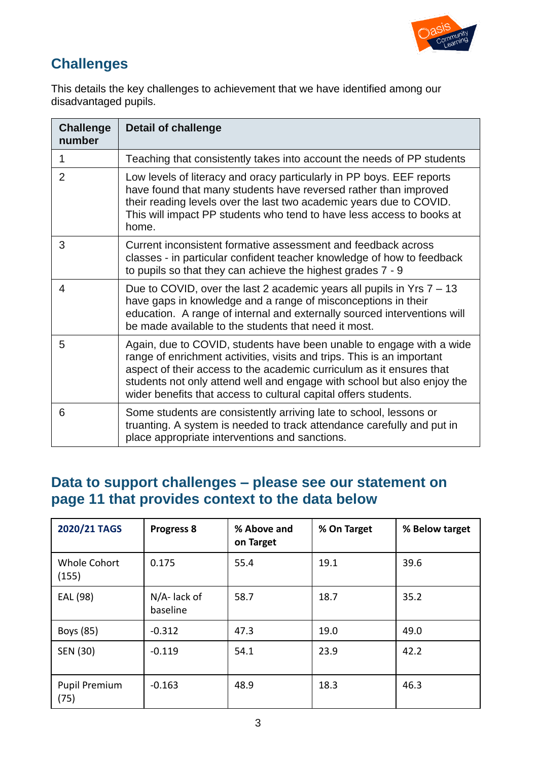

# **Challenges**

This details the key challenges to achievement that we have identified among our disadvantaged pupils.

| <b>Challenge</b><br>number | <b>Detail of challenge</b>                                                                                                                                                                                                                                                                                                                                           |
|----------------------------|----------------------------------------------------------------------------------------------------------------------------------------------------------------------------------------------------------------------------------------------------------------------------------------------------------------------------------------------------------------------|
| 1                          | Teaching that consistently takes into account the needs of PP students                                                                                                                                                                                                                                                                                               |
| $\overline{2}$             | Low levels of literacy and oracy particularly in PP boys. EEF reports<br>have found that many students have reversed rather than improved<br>their reading levels over the last two academic years due to COVID.<br>This will impact PP students who tend to have less access to books at<br>home.                                                                   |
| 3                          | Current inconsistent formative assessment and feedback across<br>classes - in particular confident teacher knowledge of how to feedback<br>to pupils so that they can achieve the highest grades 7 - 9                                                                                                                                                               |
| 4                          | Due to COVID, over the last 2 academic years all pupils in Yrs $7 - 13$<br>have gaps in knowledge and a range of misconceptions in their<br>education. A range of internal and externally sourced interventions will<br>be made available to the students that need it most.                                                                                         |
| 5                          | Again, due to COVID, students have been unable to engage with a wide<br>range of enrichment activities, visits and trips. This is an important<br>aspect of their access to the academic curriculum as it ensures that<br>students not only attend well and engage with school but also enjoy the<br>wider benefits that access to cultural capital offers students. |
| 6                          | Some students are consistently arriving late to school, lessons or<br>truanting. A system is needed to track attendance carefully and put in<br>place appropriate interventions and sanctions.                                                                                                                                                                       |

### **Data to support challenges – please see our statement on page 11 that provides context to the data below**

| 2020/21 TAGS                 | <b>Progress 8</b>           | % Above and<br>on Target | % On Target | % Below target |
|------------------------------|-----------------------------|--------------------------|-------------|----------------|
| <b>Whole Cohort</b><br>(155) | 0.175                       | 55.4                     | 19.1        | 39.6           |
| EAL (98)                     | $N/A$ - lack of<br>baseline | 58.7                     | 18.7        | 35.2           |
| Boys (85)                    | $-0.312$                    | 47.3                     | 19.0        | 49.0           |
| SEN (30)                     | $-0.119$                    | 54.1                     | 23.9        | 42.2           |
| <b>Pupil Premium</b><br>(75) | $-0.163$                    | 48.9                     | 18.3        | 46.3           |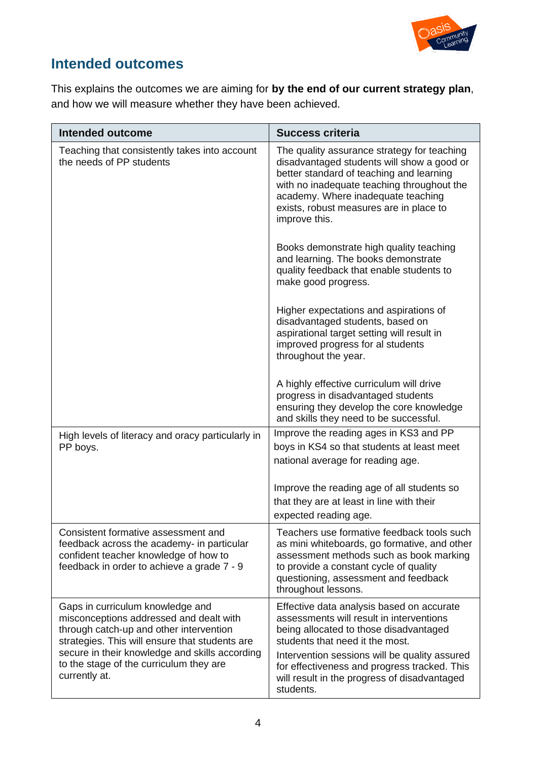

### **Intended outcomes**

This explains the outcomes we are aiming for **by the end of our current strategy plan**, and how we will measure whether they have been achieved.

| <b>Intended outcome</b>                                                                                                                                                                                                                                                                | <b>Success criteria</b>                                                                                                                                                                                                                                                                                                          |
|----------------------------------------------------------------------------------------------------------------------------------------------------------------------------------------------------------------------------------------------------------------------------------------|----------------------------------------------------------------------------------------------------------------------------------------------------------------------------------------------------------------------------------------------------------------------------------------------------------------------------------|
| Teaching that consistently takes into account<br>the needs of PP students                                                                                                                                                                                                              | The quality assurance strategy for teaching<br>disadvantaged students will show a good or<br>better standard of teaching and learning<br>with no inadequate teaching throughout the<br>academy. Where inadequate teaching<br>exists, robust measures are in place to<br>improve this.                                            |
|                                                                                                                                                                                                                                                                                        | Books demonstrate high quality teaching<br>and learning. The books demonstrate<br>quality feedback that enable students to<br>make good progress.                                                                                                                                                                                |
|                                                                                                                                                                                                                                                                                        | Higher expectations and aspirations of<br>disadvantaged students, based on<br>aspirational target setting will result in<br>improved progress for al students<br>throughout the year.                                                                                                                                            |
|                                                                                                                                                                                                                                                                                        | A highly effective curriculum will drive<br>progress in disadvantaged students<br>ensuring they develop the core knowledge<br>and skills they need to be successful.                                                                                                                                                             |
| High levels of literacy and oracy particularly in<br>PP boys.                                                                                                                                                                                                                          | Improve the reading ages in KS3 and PP<br>boys in KS4 so that students at least meet<br>national average for reading age.                                                                                                                                                                                                        |
|                                                                                                                                                                                                                                                                                        | Improve the reading age of all students so<br>that they are at least in line with their<br>expected reading age.                                                                                                                                                                                                                 |
| Consistent formative assessment and<br>feedback across the academy- in particular<br>confident teacher knowledge of how to<br>feedback in order to achieve a grade 7 - 9                                                                                                               | Teachers use formative feedback tools such<br>as mini whiteboards, go formative, and other<br>assessment methods such as book marking<br>to provide a constant cycle of quality<br>questioning, assessment and feedback<br>throughout lessons.                                                                                   |
| Gaps in curriculum knowledge and<br>misconceptions addressed and dealt with<br>through catch-up and other intervention<br>strategies. This will ensure that students are<br>secure in their knowledge and skills according<br>to the stage of the curriculum they are<br>currently at. | Effective data analysis based on accurate<br>assessments will result in interventions<br>being allocated to those disadvantaged<br>students that need it the most.<br>Intervention sessions will be quality assured<br>for effectiveness and progress tracked. This<br>will result in the progress of disadvantaged<br>students. |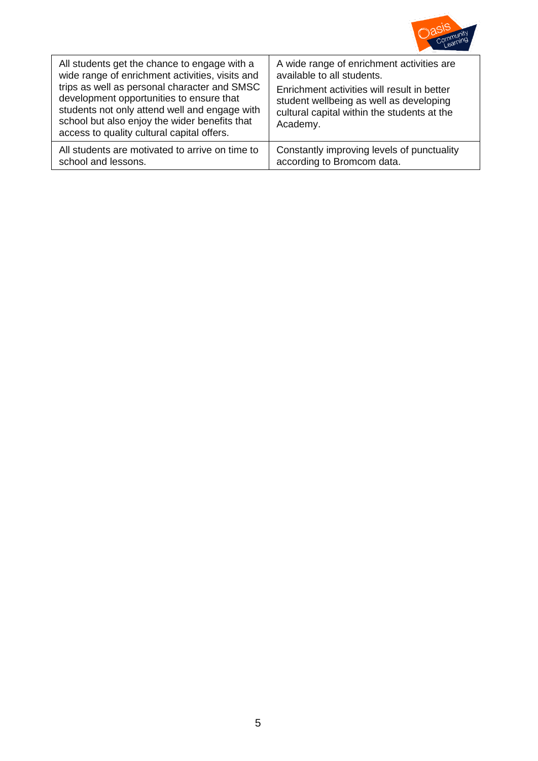

| All students get the chance to engage with a<br>wide range of enrichment activities, visits and<br>trips as well as personal character and SMSC<br>development opportunities to ensure that<br>students not only attend well and engage with<br>school but also enjoy the wider benefits that<br>access to quality cultural capital offers. | A wide range of enrichment activities are<br>available to all students.<br>Enrichment activities will result in better<br>student wellbeing as well as developing<br>cultural capital within the students at the<br>Academy. |
|---------------------------------------------------------------------------------------------------------------------------------------------------------------------------------------------------------------------------------------------------------------------------------------------------------------------------------------------|------------------------------------------------------------------------------------------------------------------------------------------------------------------------------------------------------------------------------|
| All students are motivated to arrive on time to                                                                                                                                                                                                                                                                                             | Constantly improving levels of punctuality                                                                                                                                                                                   |
| school and lessons.                                                                                                                                                                                                                                                                                                                         | according to Bromcom data.                                                                                                                                                                                                   |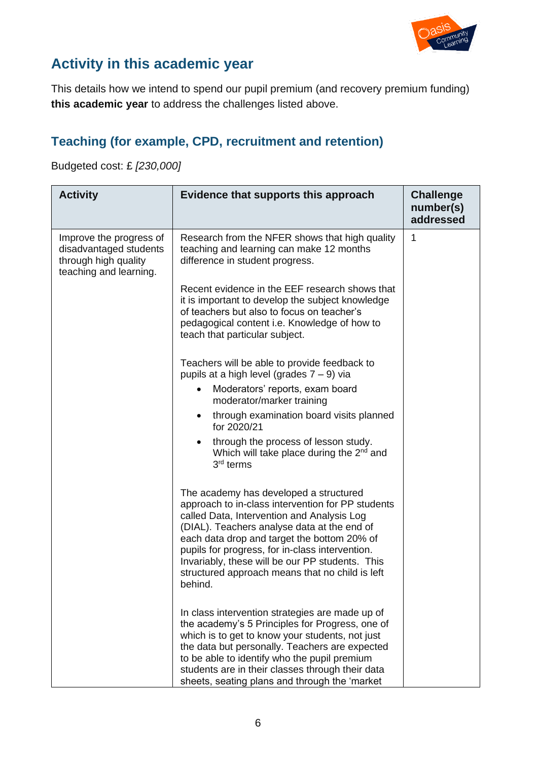

### **Activity in this academic year**

This details how we intend to spend our pupil premium (and recovery premium funding) **this academic year** to address the challenges listed above.

### **Teaching (for example, CPD, recruitment and retention)**

Budgeted cost: £ *[230,000]*

| <b>Activity</b>                                                                                     | Evidence that supports this approach                                                                                                                                                                                                                                                                                                                                                                        | <b>Challenge</b><br>number(s)<br>addressed |
|-----------------------------------------------------------------------------------------------------|-------------------------------------------------------------------------------------------------------------------------------------------------------------------------------------------------------------------------------------------------------------------------------------------------------------------------------------------------------------------------------------------------------------|--------------------------------------------|
| Improve the progress of<br>disadvantaged students<br>through high quality<br>teaching and learning. | Research from the NFER shows that high quality<br>teaching and learning can make 12 months<br>difference in student progress.                                                                                                                                                                                                                                                                               | $\mathbf{1}$                               |
|                                                                                                     | Recent evidence in the EEF research shows that<br>it is important to develop the subject knowledge<br>of teachers but also to focus on teacher's<br>pedagogical content i.e. Knowledge of how to<br>teach that particular subject.                                                                                                                                                                          |                                            |
|                                                                                                     | Teachers will be able to provide feedback to<br>pupils at a high level (grades $7 - 9$ ) via                                                                                                                                                                                                                                                                                                                |                                            |
|                                                                                                     | Moderators' reports, exam board<br>moderator/marker training                                                                                                                                                                                                                                                                                                                                                |                                            |
|                                                                                                     | through examination board visits planned<br>$\bullet$<br>for 2020/21                                                                                                                                                                                                                                                                                                                                        |                                            |
|                                                                                                     | through the process of lesson study.<br>Which will take place during the 2 <sup>nd</sup> and<br>3 <sup>rd</sup> terms                                                                                                                                                                                                                                                                                       |                                            |
|                                                                                                     | The academy has developed a structured<br>approach to in-class intervention for PP students<br>called Data, Intervention and Analysis Log<br>(DIAL). Teachers analyse data at the end of<br>each data drop and target the bottom 20% of<br>pupils for progress, for in-class intervention.<br>Invariably, these will be our PP students. This<br>structured approach means that no child is left<br>behind. |                                            |
|                                                                                                     | In class intervention strategies are made up of<br>the academy's 5 Principles for Progress, one of<br>which is to get to know your students, not just<br>the data but personally. Teachers are expected<br>to be able to identify who the pupil premium<br>students are in their classes through their data<br>sheets, seating plans and through the 'market                                                |                                            |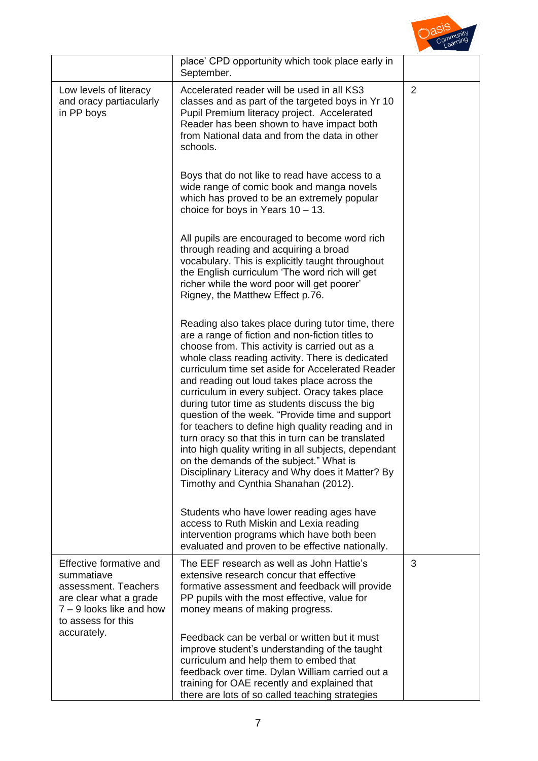

|                                                                                                                                           | place' CPD opportunity which took place early in<br>September.                                                                                                                                                                                                                                                                                                                                                                                                                                                                                                                                                                                                                                                                                                                 |                |
|-------------------------------------------------------------------------------------------------------------------------------------------|--------------------------------------------------------------------------------------------------------------------------------------------------------------------------------------------------------------------------------------------------------------------------------------------------------------------------------------------------------------------------------------------------------------------------------------------------------------------------------------------------------------------------------------------------------------------------------------------------------------------------------------------------------------------------------------------------------------------------------------------------------------------------------|----------------|
| Low levels of literacy<br>and oracy partiacularly<br>in PP boys                                                                           | Accelerated reader will be used in all KS3<br>classes and as part of the targeted boys in Yr 10<br>Pupil Premium literacy project. Accelerated<br>Reader has been shown to have impact both<br>from National data and from the data in other<br>schools.                                                                                                                                                                                                                                                                                                                                                                                                                                                                                                                       | $\overline{2}$ |
|                                                                                                                                           | Boys that do not like to read have access to a<br>wide range of comic book and manga novels<br>which has proved to be an extremely popular<br>choice for boys in Years $10 - 13$ .                                                                                                                                                                                                                                                                                                                                                                                                                                                                                                                                                                                             |                |
|                                                                                                                                           | All pupils are encouraged to become word rich<br>through reading and acquiring a broad<br>vocabulary. This is explicitly taught throughout<br>the English curriculum 'The word rich will get<br>richer while the word poor will get poorer'<br>Rigney, the Matthew Effect p.76.                                                                                                                                                                                                                                                                                                                                                                                                                                                                                                |                |
|                                                                                                                                           | Reading also takes place during tutor time, there<br>are a range of fiction and non-fiction titles to<br>choose from. This activity is carried out as a<br>whole class reading activity. There is dedicated<br>curriculum time set aside for Accelerated Reader<br>and reading out loud takes place across the<br>curriculum in every subject. Oracy takes place<br>during tutor time as students discuss the big<br>question of the week. "Provide time and support<br>for teachers to define high quality reading and in<br>turn oracy so that this in turn can be translated<br>into high quality writing in all subjects, dependant<br>on the demands of the subject." What is<br>Disciplinary Literacy and Why does it Matter? By<br>Timothy and Cynthia Shanahan (2012). |                |
|                                                                                                                                           | Students who have lower reading ages have<br>access to Ruth Miskin and Lexia reading<br>intervention programs which have both been<br>evaluated and proven to be effective nationally.                                                                                                                                                                                                                                                                                                                                                                                                                                                                                                                                                                                         |                |
| Effective formative and<br>summatiave<br>assessment. Teachers<br>are clear what a grade<br>7 – 9 looks like and how<br>to assess for this | The EEF research as well as John Hattie's<br>extensive research concur that effective<br>formative assessment and feedback will provide<br>PP pupils with the most effective, value for<br>money means of making progress.                                                                                                                                                                                                                                                                                                                                                                                                                                                                                                                                                     | 3              |
| accurately.                                                                                                                               | Feedback can be verbal or written but it must<br>improve student's understanding of the taught<br>curriculum and help them to embed that<br>feedback over time. Dylan William carried out a<br>training for OAE recently and explained that<br>there are lots of so called teaching strategies                                                                                                                                                                                                                                                                                                                                                                                                                                                                                 |                |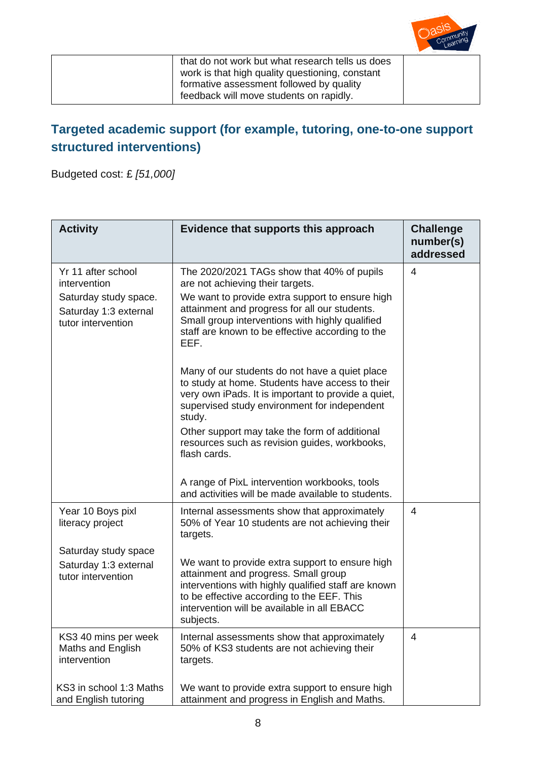

that do not work but what research tells us does work is that high quality questioning, constant formative assessment followed by quality feedback will move students on rapidly.

### **Targeted academic support (for example, tutoring, one-to-one support structured interventions)**

Budgeted cost: £ *[51,000]*

| <b>Activity</b>                                                                                            | Evidence that supports this approach                                                                                                                                                                                                                                                                                                                                                                                                                                                                                                                                                                                                      | <b>Challenge</b><br>number(s)<br>addressed |
|------------------------------------------------------------------------------------------------------------|-------------------------------------------------------------------------------------------------------------------------------------------------------------------------------------------------------------------------------------------------------------------------------------------------------------------------------------------------------------------------------------------------------------------------------------------------------------------------------------------------------------------------------------------------------------------------------------------------------------------------------------------|--------------------------------------------|
| Yr 11 after school<br>intervention<br>Saturday study space.<br>Saturday 1:3 external<br>tutor intervention | The 2020/2021 TAGs show that 40% of pupils<br>are not achieving their targets.<br>We want to provide extra support to ensure high<br>attainment and progress for all our students.<br>Small group interventions with highly qualified<br>staff are known to be effective according to the<br>EEF.<br>Many of our students do not have a quiet place<br>to study at home. Students have access to their<br>very own iPads. It is important to provide a quiet,<br>supervised study environment for independent<br>study.<br>Other support may take the form of additional<br>resources such as revision guides, workbooks,<br>flash cards. | 4                                          |
|                                                                                                            | A range of PixL intervention workbooks, tools<br>and activities will be made available to students.                                                                                                                                                                                                                                                                                                                                                                                                                                                                                                                                       |                                            |
| Year 10 Boys pixl<br>literacy project                                                                      | Internal assessments show that approximately<br>50% of Year 10 students are not achieving their<br>targets.                                                                                                                                                                                                                                                                                                                                                                                                                                                                                                                               | $\overline{4}$                             |
| Saturday study space<br>Saturday 1:3 external<br>tutor intervention                                        | We want to provide extra support to ensure high<br>attainment and progress. Small group<br>interventions with highly qualified staff are known<br>to be effective according to the EEF. This<br>intervention will be available in all EBACC<br>subjects.                                                                                                                                                                                                                                                                                                                                                                                  |                                            |
| KS3 40 mins per week<br>Maths and English<br>intervention                                                  | Internal assessments show that approximately<br>50% of KS3 students are not achieving their<br>targets.                                                                                                                                                                                                                                                                                                                                                                                                                                                                                                                                   | 4                                          |
| KS3 in school 1:3 Maths<br>and English tutoring                                                            | We want to provide extra support to ensure high<br>attainment and progress in English and Maths.                                                                                                                                                                                                                                                                                                                                                                                                                                                                                                                                          |                                            |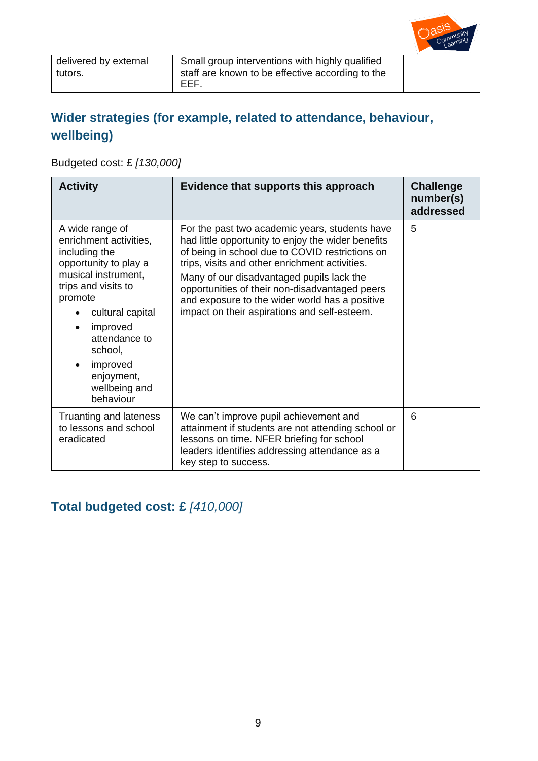

### **Wider strategies (for example, related to attendance, behaviour, wellbeing)**

Budgeted cost: £ *[130,000]*

| <b>Activity</b>                                                                                                                                                                                                                                                               | Evidence that supports this approach                                                                                                                                                                                                                                                                                                                                                                       | <b>Challenge</b><br>number(s)<br>addressed |
|-------------------------------------------------------------------------------------------------------------------------------------------------------------------------------------------------------------------------------------------------------------------------------|------------------------------------------------------------------------------------------------------------------------------------------------------------------------------------------------------------------------------------------------------------------------------------------------------------------------------------------------------------------------------------------------------------|--------------------------------------------|
| A wide range of<br>enrichment activities,<br>including the<br>opportunity to play a<br>musical instrument,<br>trips and visits to<br>promote<br>cultural capital<br>improved<br>attendance to<br>school,<br>improved<br>$\bullet$<br>enjoyment,<br>wellbeing and<br>behaviour | For the past two academic years, students have<br>had little opportunity to enjoy the wider benefits<br>of being in school due to COVID restrictions on<br>trips, visits and other enrichment activities.<br>Many of our disadvantaged pupils lack the<br>opportunities of their non-disadvantaged peers<br>and exposure to the wider world has a positive<br>impact on their aspirations and self-esteem. | 5                                          |
| Truanting and lateness<br>to lessons and school<br>eradicated                                                                                                                                                                                                                 | We can't improve pupil achievement and<br>attainment if students are not attending school or<br>lessons on time. NFER briefing for school<br>leaders identifies addressing attendance as a<br>key step to success.                                                                                                                                                                                         | 6                                          |

## **Total budgeted cost: £** *[410,000]*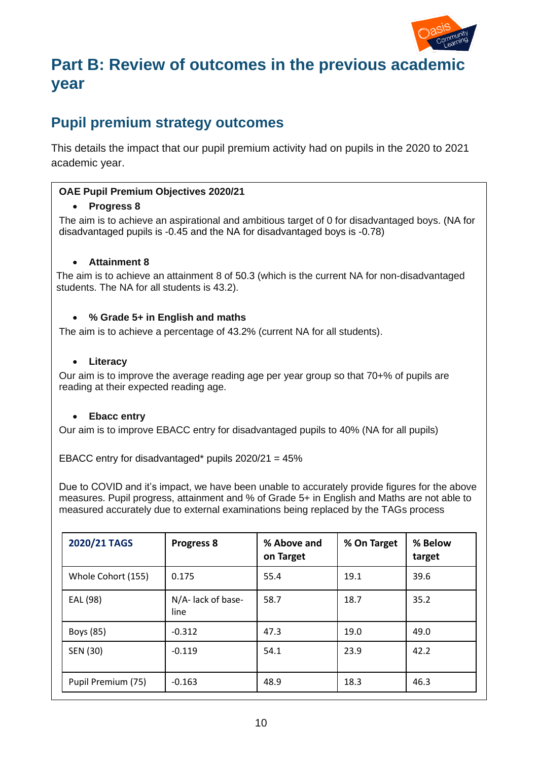

# **Part B: Review of outcomes in the previous academic year**

### **Pupil premium strategy outcomes**

This details the impact that our pupil premium activity had on pupils in the 2020 to 2021 academic year.

#### **OAE Pupil Premium Objectives 2020/21**

#### • **Progress 8**

The aim is to achieve an aspirational and ambitious target of 0 for disadvantaged boys. (NA for disadvantaged pupils is -0.45 and the NA for disadvantaged boys is -0.78)

#### • **Attainment 8**

The aim is to achieve an attainment 8 of 50.3 (which is the current NA for non-disadvantaged students. The NA for all students is 43.2).

#### • **% Grade 5+ in English and maths**

The aim is to achieve a percentage of 43.2% (current NA for all students).

#### • **Literacy**

Our aim is to improve the average reading age per year group so that 70+% of pupils are reading at their expected reading age.

#### • **Ebacc entry**

Our aim is to improve EBACC entry for disadvantaged pupils to 40% (NA for all pupils)

EBACC entry for disadvantaged\* pupils 2020/21 = 45%

Due to COVID and it's impact, we have been unable to accurately provide figures for the above measures. Pupil progress, attainment and % of Grade 5+ in English and Maths are not able to measured accurately due to external examinations being replaced by the TAGs process

| 2020/21 TAGS       | <b>Progress 8</b>          | % Above and<br>on Target | % On Target | % Below<br>target |
|--------------------|----------------------------|--------------------------|-------------|-------------------|
| Whole Cohort (155) | 0.175                      | 55.4                     | 19.1        | 39.6              |
| EAL (98)           | N/A- lack of base-<br>line | 58.7                     | 18.7        | 35.2              |
| Boys (85)          | $-0.312$                   | 47.3                     | 19.0        | 49.0              |
| SEN (30)           | $-0.119$                   | 54.1                     | 23.9        | 42.2              |
| Pupil Premium (75) | $-0.163$                   | 48.9                     | 18.3        | 46.3              |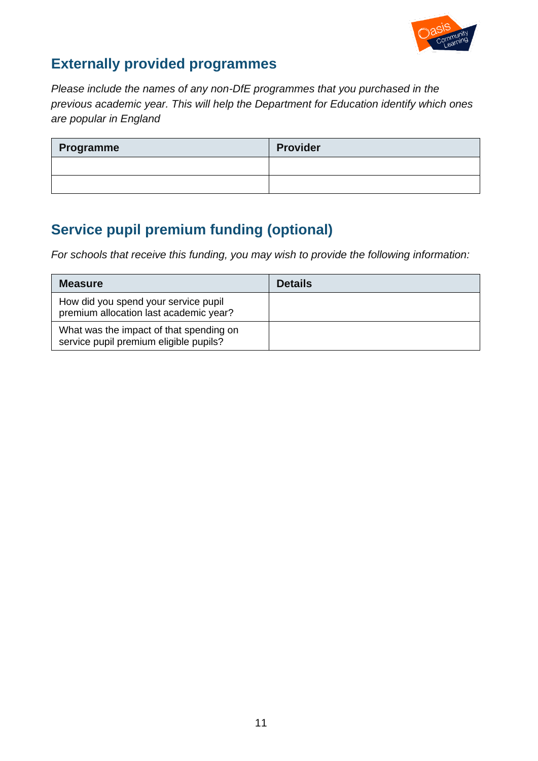

### **Externally provided programmes**

*Please include the names of any non-DfE programmes that you purchased in the previous academic year. This will help the Department for Education identify which ones are popular in England*

| Programme | <b>Provider</b> |
|-----------|-----------------|
|           |                 |
|           |                 |

# **Service pupil premium funding (optional)**

*For schools that receive this funding, you may wish to provide the following information:*

| <b>Measure</b>                                                                    | <b>Details</b> |
|-----------------------------------------------------------------------------------|----------------|
| How did you spend your service pupil<br>premium allocation last academic year?    |                |
| What was the impact of that spending on<br>service pupil premium eligible pupils? |                |